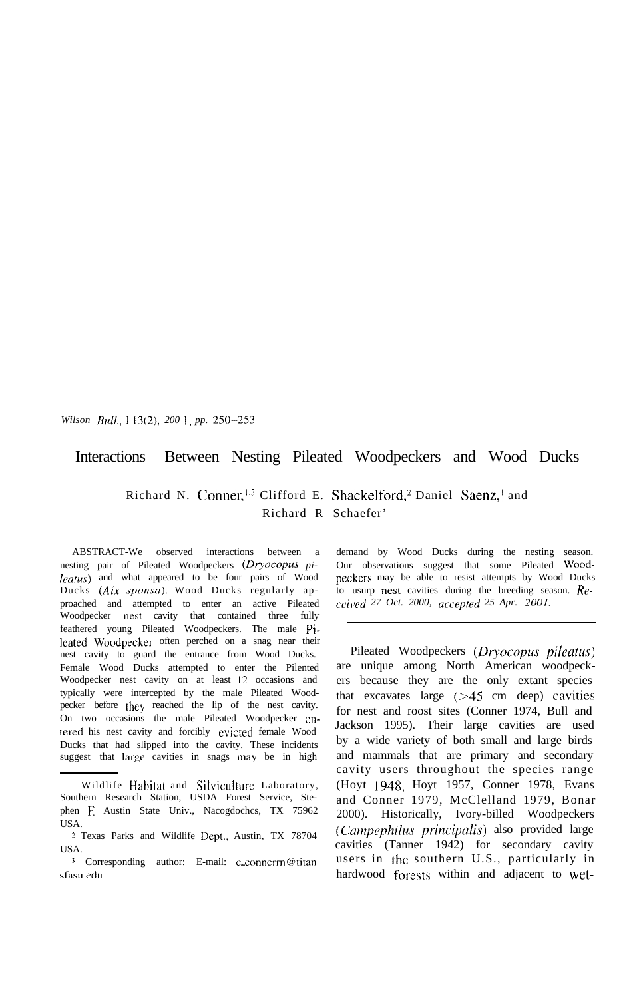*Wilson Bull.,* 113(2), 200 1, pp. 250-253

## Interactions Between Nesting Pileated Woodpeckers and Wood Ducks

## Richard N. Conner,<sup>1,3</sup> Clifford E. Shackelford,<sup>2</sup> Daniel Saenz,<sup>1</sup> and Richard R Schaefer'

ABSTRACT-We observed interactions between nesting pair of Pileated Woodpeckers (Dryocopus pileatus) and what appeared to be four pairs of Wood Ducks (Aix *sponsa*). Wood Ducks regularly approached and attempted to enter an active Pileated Woodpecker nest cavity that contained three fully feathered young Pileated Woodpeckers. The male Pileated Woodpecker often perched on a snag near their nest cavity to guard the entrance from Wood Ducks. Female Wood Ducks attempted to enter the Pilented Woodpecker nest cavity on at least 12 occasions and typically were intercepted by the male Pileated Woodpecker before they reached the lip of the nest cavity. On two occasions the male Pileated Woodpecker cntered his nest cavity and forcibly evicted female Wood Ducks that had slipped into the cavity. These incidents suggest that large cavities in snags may be in high

demand by Wood Ducks during the nesting season. Our observations suggest that some Pileated Woodpcckers may be able to resist attempts by Wood Ducks to usurp nest cavities during the breeding season. Re*ceivrd 27 Oct. 2000, crccrpted 25 Apr. 2001.*

Pileated Woodpeckers (Dryocopus pileatus) are unique among North American woodpeckers because they are the only extant species that excavates large  $(>\!45$  cm deep) cavities for nest and roost sites (Conner 1974, Bull and Jackson 1995). Their large cavities are used by a wide variety of both small and large birds and mammals that are primary and secondary cavity users throughout the species range (Hoyt 1948, Hoyt 1957, Conner 1978, Evans and Conner 1979, McClelland 1979, Bonar 2000). Historically, Ivory-billed Woodpeckers *(Cumnpphihs principdis)* also provided large cavities (Tanner 1942) for secondary cavity users in the southern U.S., particularly in hardwood forests within and adjacent to wel-

Wildlife Habitat and Silviculture Laboratory, Southern Research Station, USDA Forest Service, Stephen E Austin State Univ., Nacogdochcs, TX 75962 USA.

<sup>?</sup> Texas Parks and Wildlife Dept., Austin, TX 78704 USA.

<sup>&</sup>lt;sup>3</sup> Corresponding author: E-mail: c\_connerrn@titan. sfasu.edu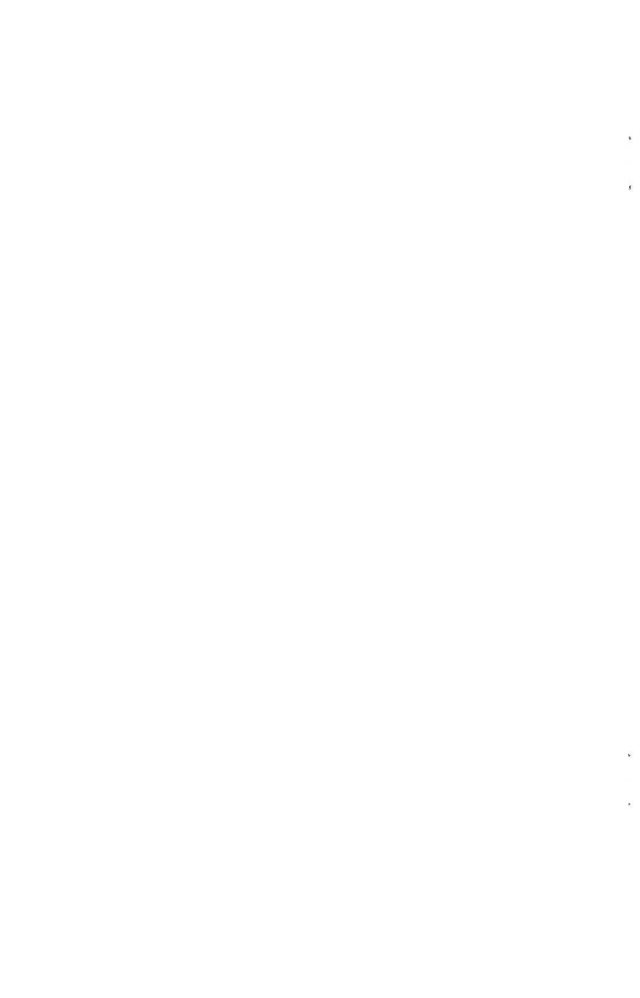$\mathfrak s$  $\bar{z}$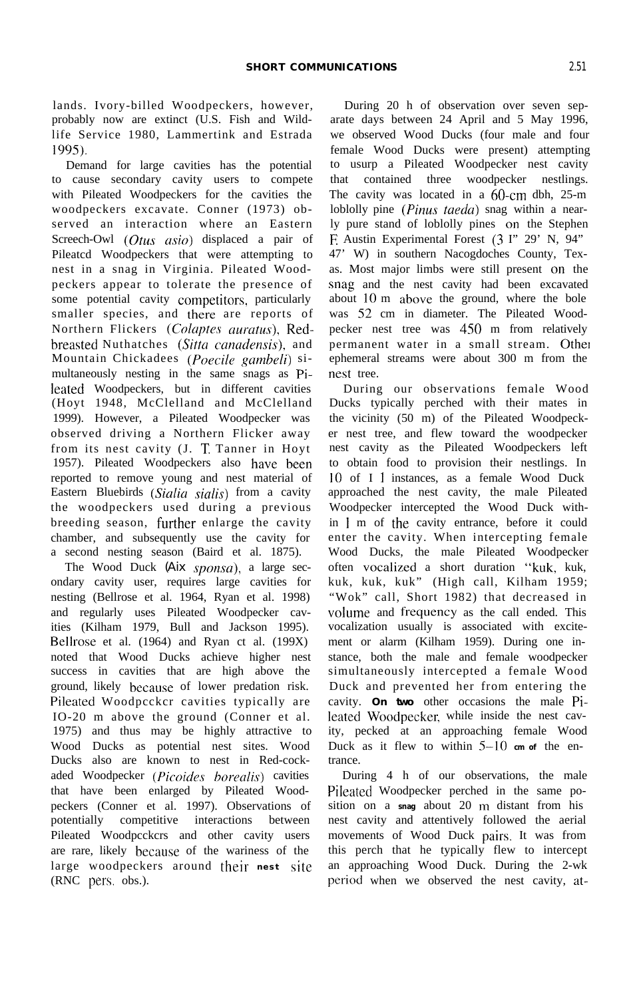lands. Ivory-billed Woodpeckers, however, probably now are extinct (U.S. Fish and Wildlife Service 1980, Lammertink and Estrada 1995).

Demand for large cavities has the potential to cause secondary cavity users to compete with Pileated Woodpeckers for the cavities the woodpeckers excavate. Conner (1973) observed an interaction where an Eastern Screech-Owl *(Otus asio)* displaced a pair of Pileatcd Woodpeckers that were attempting to nest in a snag in Virginia. Pileated Woodpeckers appear to tolerate the presence of some potential cavity competitors, particularly smaller species, and there are reports of Northern Flickers *(Colaptes auratus)*, Redbreasted Nuthatches (Sitta canadensis), and Mountain Chickadees *(Poccile gamheli)* simultaneously nesting in the same snags as Pileated Woodpeckers, but in different cavities (Hoyt 1948, McClelland and McClelland 1999). However, a Pileated Woodpecker was observed driving a Northern Flicker away from its nest cavity (J. T. Tanner in Hoyt 1957). Pileated Woodpeckers also have been reported to remove young and nest material of Eastern Bluebirds (Sialia sialis) from a cavity the woodpeckers used during a previous breeding season, further enlarge the cavity chamber, and subsequently use the cavity for a second nesting season (Baird et al. 1875).

The Wood Duck (Aix sponsa), a large secondary cavity user, requires large cavities for nesting (Bellrose et al. 1964, Ryan et al. 1998) and regularly uses Pileated Woodpecker cavities (Kilham 1979, Bull and Jackson 1995). Bellrose et al. (1964) and Ryan ct al. (199X) noted that Wood Ducks achieve higher nest success in cavities that are high above the ground, likely because of lower predation risk. Pileated Woodpcckcr cavities typically are IO-20 m above the ground (Conner et al. 1975) and thus may be highly attractive to Wood Ducks as potential nest sites. Wood Ducks also are known to nest in Red-cockaded Woodpecker (Picoides borealis) cavities that have been enlarged by Pileated Woodpeckers (Conner et al. 1997). Observations of potentially competitive interactions between Pileated Woodpcckcrs and other cavity users are rare, likely because of the wariness of the large woodpeckers around their **nest** site (RNC pcrs. obs.).

During 20 h of observation over seven separate days between 24 April and 5 May 1996, we observed Wood Ducks (four male and four female Wood Ducks were present) attempting to usurp a Pileated Woodpecker nest cavity that contained three woodpecker nestlings. The cavity was located in a 60-cm dbh, 25-m loblolly pine *(Pinus taeda)* snag within a nearly pure stand of loblolly pines **on** the Stephen E Austin Experimental Forest (3 I" 29' N, 94" 47' W) in southern Nacogdoches County, Texas. Most major limbs were still present on the **snag** and the nest cavity had been excavated about 10 m above the ground, where the bole was 52 cm in diameter. The Pileated Woodpecker nest tree was 450 m from relatively permanent water in a small stream. Other ephemeral streams were about 300 m from the nest tree.

During our observations female Wood Ducks typically perched with their mates in the vicinity (50 m) of the Pileated Woodpecker nest tree, and flew toward the woodpecker nest cavity as the Pileated Woodpeckers left to obtain food to provision their nestlings. In 10 of I 1 instances, as a female Wood Duck approached the nest cavity, the male Pileated Woodpecker intercepted the Wood Duck within 1 m of the cavity entrance, before it could enter the cavity. When intercepting female Wood Ducks, the male Pileated Woodpecker often vocalized a short duration "kuk, kuk, kuk, kuk, kuk" (High call, Kilham 1959; "Wok" call, Short 1982) that decreased in volume and frequency as the call ended. This vocalization usually is associated with excitement or alarm (Kilham 1959). During one instance, both the male and female woodpecker simultaneously intercepted a female Wood Duck and prevented her from entering the cavity. **On two** other occasions the male Pileated Woodpecker, while inside the nest cavity, pecked at an approaching female Wood Duck as it flew to within S-IO **cm of** the entrance.

During 4 h of our observations, the male Pileated Woodpecker perched in the same position on a snag about 20 m distant from his nest cavity and attentively followed the aerial movements of Wood Duck pairs. It was from this perch that he typically flew to intercept an approaching Wood Duck. During the 2-wk period when we observed the nest cavity, at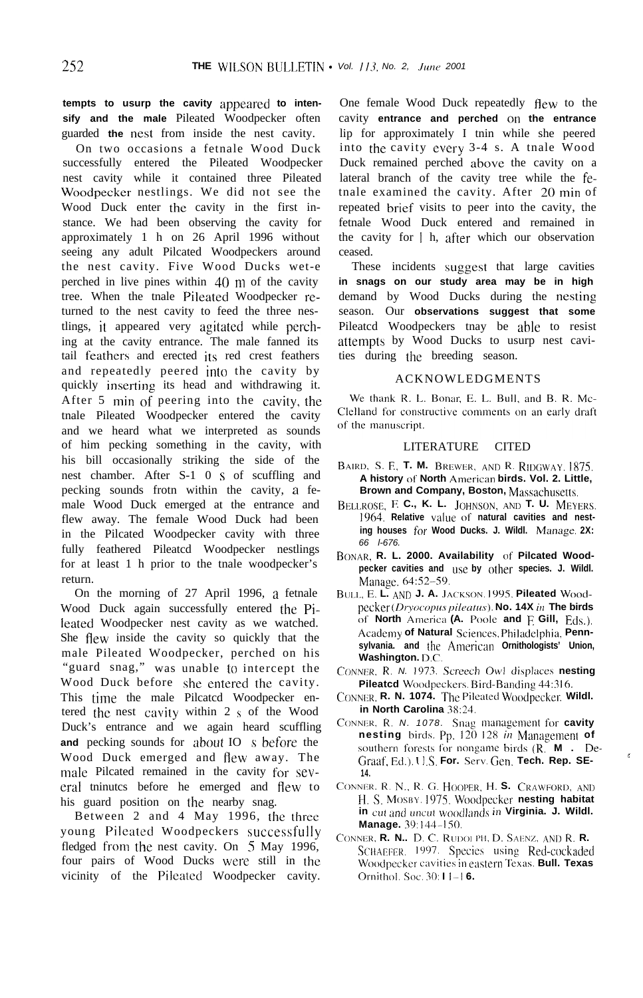**tempts to usurp the cavity appeared to intensify and the male** Pileated Woodpecker often guarded **the** nest from inside the nest cavity.

On two occasions a fetnale Wood Duck successfully entered the Pileated Woodpecker nest cavity while it contained three Pileated Woodpecker nestlings. We did not see the Wood Duck enter the cavity in the first instance. We had been observing the cavity for approximately 1 h on 26 April 1996 without seeing any adult Pilcated Woodpeckers around the nest cavity. Five Wood Ducks wet-e perched in live pines within 40 m of the cavity tree. When the tnale Pileated Woodpecker returned to the nest cavity to feed the three nestlings, it appeared very agitated while perching at the cavity entrance. The male fanned its tail feathers and erected its red crest feathers and repeatedly peered inlo the cavity by quickly inserting its head and withdrawing it. After 5 min of peering into the cavity, the tnale Pileated Woodpecker entered the cavity and we heard what we interpreted as sounds of him pecking something in the cavity, with his bill occasionally striking the side of the nest chamber. After S-1 0 s of scuffling and pecking sounds frotn within the cavity, a female Wood Duck emerged at the entrance and flew away. The female Wood Duck had been in the Pilcated Woodpecker cavity with three fully feathered Pileatcd Woodpecker nestlings for at least 1 h prior to the tnale woodpecker's return.

On the morning of 27 April 1996, a fetnale Wood Duck again successfully entered the Pileated Woodpecker nest cavity as we watched. She flew inside the cavity so quickly that the male Pileated Woodpecker, perched on his "guard snag," was unable to intercept the Wood Duck before she entered the cavity. This time the male Pilcatcd Woodpecker entered the nest cavity within 2 s of the Wood Duck's entrance and we again heard scuffling and pecking sounds for about IO s before the Wood Duck emerged and flew away. The male Pilcated remained in the cavity for severa1 tninutcs before he emerged and flew to his guard position on **the** nearby snag.

Between 2 and 4 May 1996, the three young Pileated Woodpeckers successfully fledged from the nest cavity. On 5 May 1996, four pairs of Wood Ducks were still in **the** vicinity of the Pileated Woodpecker cavity. One female Wood Duck repeatedly flew to the cavity entrance and perched **OII** the entrance lip for approximately I tnin while she peered into the cavity every 3-4 s. A tnale Wood Duck remained perched above the cavity on a lateral branch of the cavity tree while the fetnale examined the cavity. After 20 min of repeated brief visits to peer into the cavity, the fetnale Wood Duck entered and remained in the cavity for  $\vert$  h, after which our observation ceased.

These incidents **suggest** that large cavities **in snags on our study area may be in high** demand by Wood Ducks during the nesting season. Our **observations suggest that some** Pileatcd Woodpeckers tnay be able to resist attempts by Wood Ducks to usurp nest cavities during the breeding season.

## ACKNOWLEDGMENTS

We thank R. L. Bonar, E. L. Bull, and B. R. Mc-Clelland for constructive comments on an early draft of the manuscript.

## LITERATURE CITED

- BAIRD, S. F., **T. M.** BREWER, AND R. RIDGWAY. 1875. **A history of North American birds. Vol. 2. Little, Brown and Company, Boston, Massachusetts.**
- BELLROSE, F. C., K. L. JOHNSON, AND T. U. MEYERS. 1964. Relative value of natural cavities and nesting houses for Wood Ducks. J. Wildl. Manage. 2X: *66 l-676.*
- BONAR, R. L. 2000. Availability of Pilcated Woodpecker cavities and use by other species. J. Wildl. **Manapc. 64:52-59.**
- BULL, E. L. AND J. A. JACKSON. 1995. Pileated Wood**pecker** (Dryocopus pileatus). No. 14X in The birds of **North** America (A. Poole and **F** Gill, Eds.). Academy of Natural Sciences, Philadelphia, Penn**sylvania. and the Anxrican Ornithologists' Union, Washington. D.C.**
- *CONNI:K, Ii. N. 197.1.* **Screech Owl dihplnce nesting Pileatcd** Woodpeckers. Bird-Banding 44:316.
- CONNER, R. N. 1074. The Pileated Woodpecker. Wildl. **in North Carolina 3X:24.**
- CONNER, R. *N. 1078.* Snag management for **cavity nesting** birds. Pp. 120 128 *in* Management of **southern** forests for nongame birds (R. M. De-Graaf, Ed.). **U.S. For.** Serv. Gen. Tech. Rep. SE-**14.**

ť

- CONNER. R. N., R. G. HOOPER, H. S. CRAWFORD, AND  $H. S. Mossy.$  1975. Woodpecker nesting habitat **in** cut and uncut woodlands in Virginia. J. Wildl. **Manage.** 39:144-150.
- CONNER, **R. N..** D. C. RUDOI PH, D. SAENZ, AND R. **R. SCHAEFER.** 1997. Species using **Red-cockade Woodpecker** cavities in eastern Texas. Bull. Texas **Ornithol.** Soc. 30: **11-16.**